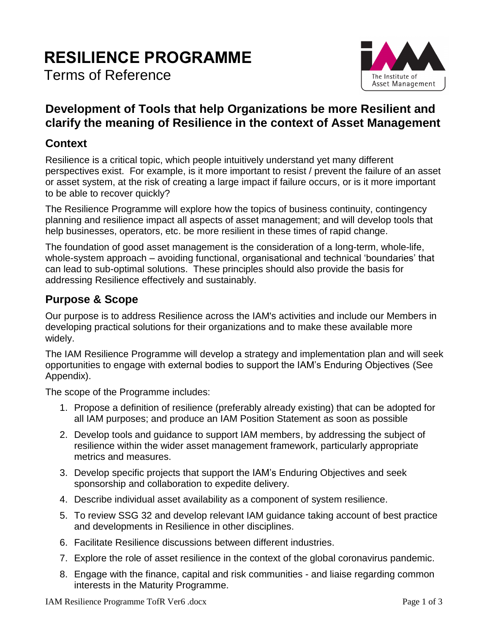# **RESILIENCE PROGRAMME**

Terms of Reference



### **Development of Tools that help Organizations be more Resilient and clarify the meaning of Resilience in the context of Asset Management**

#### **Context**

Resilience is a critical topic, which people intuitively understand yet many different perspectives exist. For example, is it more important to resist / prevent the failure of an asset or asset system, at the risk of creating a large impact if failure occurs, or is it more important to be able to recover quickly?

The Resilience Programme will explore how the topics of business continuity, contingency planning and resilience impact all aspects of asset management; and will develop tools that help businesses, operators, etc. be more resilient in these times of rapid change.

The foundation of good asset management is the consideration of a long-term, whole-life, whole-system approach – avoiding functional, organisational and technical 'boundaries' that can lead to sub-optimal solutions. These principles should also provide the basis for addressing Resilience effectively and sustainably.

#### **Purpose & Scope**

Our purpose is to address Resilience across the IAM's activities and include our Members in developing practical solutions for their organizations and to make these available more widely.

The IAM Resilience Programme will develop a strategy and implementation plan and will seek opportunities to engage with external bodies to support the IAM's Enduring Objectives (See Appendix).

The scope of the Programme includes:

- 1. Propose a definition of resilience (preferably already existing) that can be adopted for all IAM purposes; and produce an IAM Position Statement as soon as possible
- 2. Develop tools and guidance to support IAM members, by addressing the subject of resilience within the wider asset management framework, particularly appropriate metrics and measures.
- 3. Develop specific projects that support the IAM's Enduring Objectives and seek sponsorship and collaboration to expedite delivery.
- 4. Describe individual asset availability as a component of system resilience.
- 5. To review SSG 32 and develop relevant IAM guidance taking account of best practice and developments in Resilience in other disciplines.
- 6. Facilitate Resilience discussions between different industries.
- 7. Explore the role of asset resilience in the context of the global coronavirus pandemic.
- 8. Engage with the finance, capital and risk communities and liaise regarding common interests in the Maturity Programme.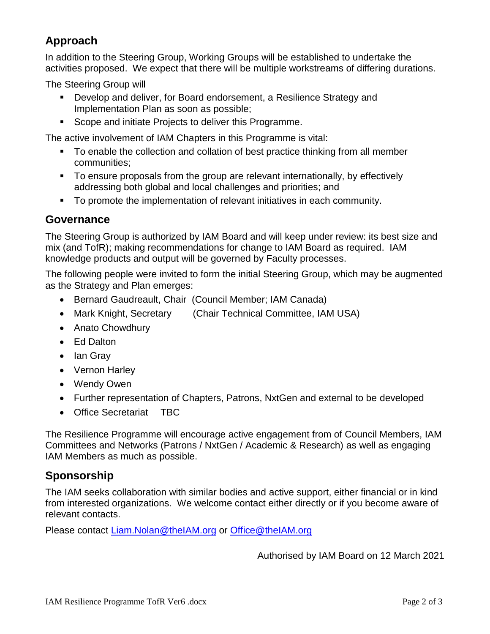## **Approach**

In addition to the Steering Group, Working Groups will be established to undertake the activities proposed. We expect that there will be multiple workstreams of differing durations.

The Steering Group will

- Develop and deliver, for Board endorsement, a Resilience Strategy and Implementation Plan as soon as possible;
- Scope and initiate Projects to deliver this Programme.

The active involvement of IAM Chapters in this Programme is vital:

- To enable the collection and collation of best practice thinking from all member communities;
- To ensure proposals from the group are relevant internationally, by effectively addressing both global and local challenges and priorities; and
- To promote the implementation of relevant initiatives in each community.

#### **Governance**

The Steering Group is authorized by IAM Board and will keep under review: its best size and mix (and TofR); making recommendations for change to IAM Board as required. IAM knowledge products and output will be governed by Faculty processes.

The following people were invited to form the initial Steering Group, which may be augmented as the Strategy and Plan emerges:

- Bernard Gaudreault, Chair (Council Member; IAM Canada)
- Mark Knight, Secretary (Chair Technical Committee, IAM USA)
- Anato Chowdhury
- Ed Dalton
- Ian Gray
- Vernon Harley
- Wendy Owen
- Further representation of Chapters, Patrons, NxtGen and external to be developed
- Office Secretariat TBC

The Resilience Programme will encourage active engagement from of Council Members, IAM Committees and Networks (Patrons / NxtGen / Academic & Research) as well as engaging IAM Members as much as possible.

#### **Sponsorship**

The IAM seeks collaboration with similar bodies and active support, either financial or in kind from interested organizations. We welcome contact either directly or if you become aware of relevant contacts.

Please contact [Liam.Nolan@theIAM.org](mailto:Liam.Nolan@theIAM.org) or [Office@theIAM.org](mailto:Office@theIAM.org)

Authorised by IAM Board on 12 March 2021